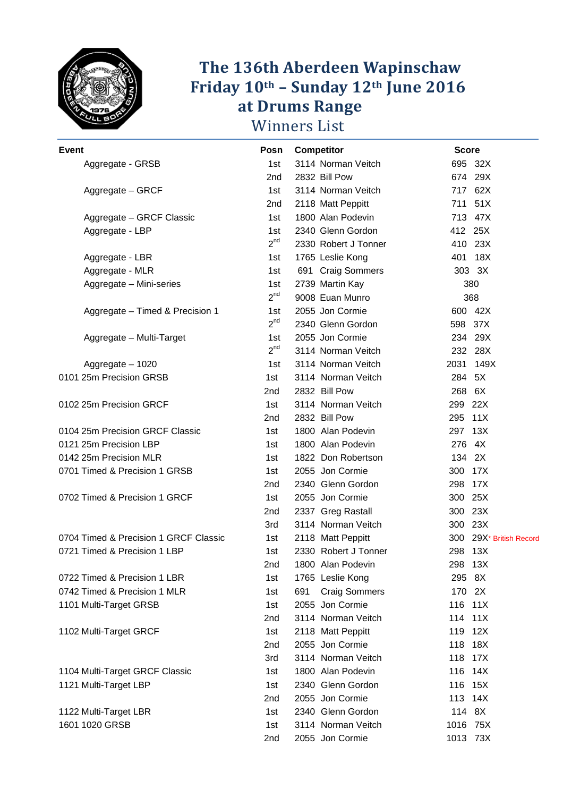

#### **Friday 10 The 136th Aberdeen Wapinschaw th – Sunday 12th June 2016 at Drums Range**  Winners List **Wapinschaw**

| <b>Event</b>                          | Posn       | Competitor                  | <b>Score</b>            |
|---------------------------------------|------------|-----------------------------|-------------------------|
| Aggregate - GRSB                      | 1st        | 3114 Norman Veitch          | 695 32X                 |
|                                       | 2nd        | 2832 Bill Pow               | 674 29X                 |
| Aggregate - GRCF                      | 1st        | 3114 Norman Veitch          | 717 62X                 |
|                                       | 2nd        | 2118 Matt Peppitt           | 711 51X                 |
| Aggregate - GRCF Classic              | 1st        | 1800 Alan Podevin           | 713 47X                 |
| Aggregate - LBP                       | 1st        | 2340 Glenn Gordon           | 412 25X                 |
|                                       | $2^{nd}$   | 2330 Robert J Tonner        | 410 23X                 |
| Aggregate - LBR                       | 1st        | 1765 Leslie Kong            | 401 18X                 |
| Aggregate - MLR                       | 1st.       | 691 Craig Sommers           | 303 3X                  |
| Aggregate - Mini-series               | 1st        | 2739 Martin Kay             | 380                     |
|                                       | $2^{nd}$   | 9008 Euan Munro             | 368                     |
| Aggregate - Timed & Precision 1       | 1st        | 2055 Jon Cormie             | 600 42X                 |
|                                       | $2^{nd}$   | 2340 Glenn Gordon           | 598 37X                 |
| Aggregate - Multi-Target              | 1st        | 2055 Jon Cormie             | 234 29X                 |
|                                       | $2^{nd}$   | 3114 Norman Veitch          | 232 28X                 |
| Aggregate - 1020                      | 1st.       | 3114 Norman Veitch          | 2031 149X               |
| 0101 25m Precision GRSB               | 1st        | 3114 Norman Veitch          | 284 5X                  |
|                                       | 2nd        | 2832 Bill Pow               | 268 6X                  |
| 0102 25m Precision GRCF               | 1st        | 3114 Norman Veitch          | 299 22X                 |
|                                       | 2nd        | 2832 Bill Pow               | 295 11X                 |
| 0104 25m Precision GRCF Classic       | 1st        | 1800 Alan Podevin           | 297 13X                 |
| 0121 25m Precision LBP                | 1st        | 1800 Alan Podevin           | 276 4X                  |
| 0142 25m Precision MLR                | 1st        | 1822 Don Robertson          | 134 2X                  |
| 0701 Timed & Precision 1 GRSB         | 1st        | 2055 Jon Cormie             | 300 17X                 |
|                                       | 2nd        | 2340 Glenn Gordon           | 17X<br>298              |
| 0702 Timed & Precision 1 GRCF         | 1st        | 2055 Jon Cormie             | 300 25X                 |
|                                       | 2nd        | 2337 Greg Rastall           | 300 23X                 |
|                                       | 3rd        | 3114 Norman Veitch          | 300 23X                 |
| 0704 Timed & Precision 1 GRCF Classic | 1st        | 2118 Matt Peppitt           | 300 29X* British Record |
| 0721 Timed & Precision 1 LBP          | 1st        | 2330 Robert J Tonner        | 298 13X                 |
|                                       | 2nd        | 1800 Alan Podevin           | 298 13X                 |
| 0722 Timed & Precision 1 LBR          | 1st        | 1765 Leslie Kong            | 295 8X                  |
| 0742 Timed & Precision 1 MLR          | 1st        | 691<br><b>Craig Sommers</b> | 170 2X                  |
| 1101 Multi-Target GRSB                | 1st        | 2055 Jon Cormie             | 116 11X                 |
|                                       | 2nd        | 3114 Norman Veitch          | 114 11X                 |
| 1102 Multi-Target GRCF                | 1st        | 2118 Matt Peppitt           | 119 12X                 |
|                                       | 2nd        | 2055 Jon Cormie             | 118 18X                 |
|                                       | 3rd        | 3114 Norman Veitch          | 118 17X                 |
| 1104 Multi-Target GRCF Classic        | 1st        | 1800 Alan Podevin           | 116 14X                 |
| 1121 Multi-Target LBP                 | 1st        | 2340 Glenn Gordon           | 15X<br>116              |
|                                       | 2nd        | 2055 Jon Cormie             | 113 14X                 |
| 1122 Multi-Target LBR                 | 1st        | 2340 Glenn Gordon           | 114 8X                  |
| 1601 1020 GRSB                        |            | 3114 Norman Veitch          | 1016 75X                |
|                                       | 1st<br>2nd | 2055 Jon Cormie             | 1013 73X                |
|                                       |            |                             |                         |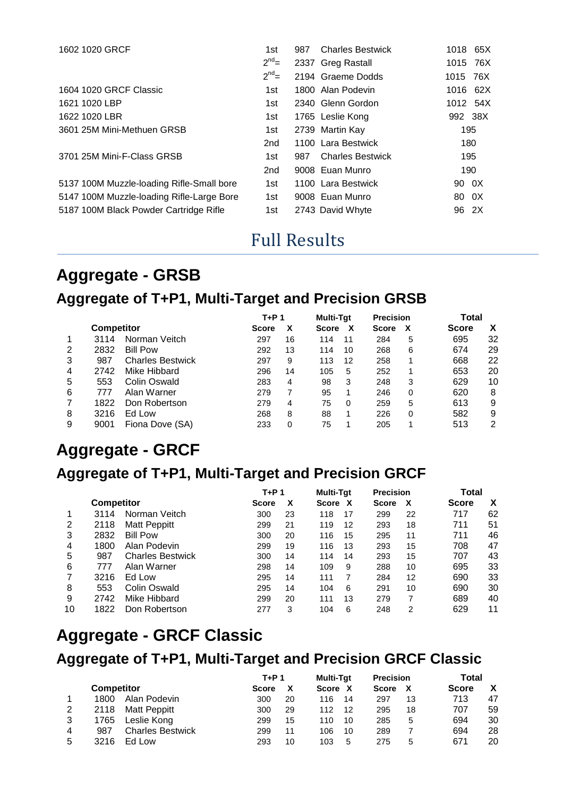| 1602 1020 GRCF                            | 1st             | 987 | <b>Charles Bestwick</b> | 1018 65X   |
|-------------------------------------------|-----------------|-----|-------------------------|------------|
|                                           | $2^{nd}$ =      |     | 2337 Greg Rastall       | 1015 76X   |
|                                           | $2^{nd}$ =      |     | 2194 Graeme Dodds       | 1015 76X   |
| 1604 1020 GRCF Classic                    | 1st.            |     | 1800 Alan Podevin       | 1016 62X   |
| 1621 1020 LBP                             | 1st             |     | 2340 Glenn Gordon       | 1012 54X   |
| 1622 1020 LBR                             | 1st             |     | 1765 Leslie Kong        | 992 38X    |
| 3601 25M Mini-Methuen GRSB                | 1st             |     | 2739 Martin Kay         | 195        |
|                                           | 2 <sub>nd</sub> |     | 1100 Lara Bestwick      | 180        |
| 3701 25M Mini-F-Class GRSB                | 1st             | 987 | <b>Charles Bestwick</b> | 195        |
|                                           | 2 <sub>nd</sub> |     | 9008 Euan Munro         | 190        |
| 5137 100M Muzzle-loading Rifle-Small bore | 1st             |     | 1100 Lara Bestwick      | 90 0X      |
| 5147 100M Muzzle-loading Rifle-Large Bore | 1st             |     | 9008 Euan Munro         | - 0X<br>80 |
| 5187 100M Black Powder Cartridge Rifle    | 1st             |     | 2743 David Whyte        | 96 2X      |
|                                           |                 |     |                         |            |

## Full Results

## **Aggregate - GRSB Aggregate of T+P1, Multi-Target and Precision GRSB**

|   |                   |                         | $T+P1$       |    | <b>Multi-Tat</b><br><b>Precision</b> |    |              | Total |              |    |
|---|-------------------|-------------------------|--------------|----|--------------------------------------|----|--------------|-------|--------------|----|
|   | <b>Competitor</b> |                         | <b>Score</b> | X  | <b>Score</b>                         | x  | <b>Score</b> |       | <b>Score</b> | X  |
|   | 3114              | Norman Veitch           | 297          | 16 | 114                                  | 11 | 284          | 5     | 695          | 32 |
| 2 | 2832              | <b>Bill Pow</b>         | 292          | 13 | 114                                  | 10 | 268          | 6     | 674          | 29 |
| 3 | 987               | <b>Charles Bestwick</b> | 297          | 9  | 113                                  | 12 | 258          | 1     | 668          | 22 |
| 4 | 2742              | Mike Hibbard            | 296          | 14 | 105                                  | 5  | 252          | 1     | 653          | 20 |
| 5 | 553               | <b>Colin Oswald</b>     | 283          | 4  | 98                                   | 3  | 248          | 3     | 629          | 10 |
| 6 | 777               | Alan Warner             | 279          | 7  | 95                                   |    | 246          | 0     | 620          | 8  |
|   | 1822              | Don Robertson           | 279          | 4  | 75                                   | 0  | 259          | 5     | 613          | 9  |
| 8 | 3216              | Ed Low                  | 268          | 8  | 88                                   |    | 226          | 0     | 582          | 9  |
| 9 | 9001              | Fiona Dove (SA)         | 233          | 0  | 75                                   |    | 205          |       | 513          | 2  |

### **Aggregate - GRCF**

#### **Aggregate of T+P1, Multi-Target and Precision GRCF**

|    |                   |                         |              | T+P 1 |         | <b>Multi-Tat</b><br><b>Precision</b> |              |    | Total        |    |
|----|-------------------|-------------------------|--------------|-------|---------|--------------------------------------|--------------|----|--------------|----|
|    | <b>Competitor</b> |                         | <b>Score</b> | X     | Score X |                                      | <b>Score</b> | X  | <b>Score</b> | X  |
|    | 3114              | Norman Veitch           | 300          | 23    | 118     | 17                                   | 299          | 22 | 717          | 62 |
| 2  | 2118              | Matt Peppitt            | 299          | 21    | 119     | 12                                   | 293          | 18 | 711          | 51 |
| 3  | 2832              | <b>Bill Pow</b>         | 300          | 20    | 116     | 15                                   | 295          | 11 | 711          | 46 |
| 4  | 1800              | Alan Podevin            | 299          | 19    | 116     | 13                                   | 293          | 15 | 708          | 47 |
| 5  | 987               | <b>Charles Bestwick</b> | 300          | 14    | 114     | 14                                   | 293          | 15 | 707          | 43 |
| 6  | 777               | Alan Warner             | 298          | 14    | 109     | 9                                    | 288          | 10 | 695          | 33 |
|    | 3216              | Ed Low                  | 295          | 14    | 111     | 7                                    | 284          | 12 | 690          | 33 |
| 8  | 553               | Colin Oswald            | 295          | 14    | 104     | 6                                    | 291          | 10 | 690          | 30 |
| 9  | 2742              | Mike Hibbard            | 299          | 20    | 111     | 13                                   | 279          | 7  | 689          | 40 |
| 10 | 1822              | Don Robertson           | 277          | 3     | 104     | 6                                    | 248          | 2  | 629          | 11 |

## **Aggregate - GRCF Classic Aggregate of T+P1, Multi-Target and Precision GRCF Classic**

|   |                   |                         | T+P 1 |    | <b>Multi-Tat</b> |    | <b>Precision</b> |    | <b>Total</b> |    |
|---|-------------------|-------------------------|-------|----|------------------|----|------------------|----|--------------|----|
|   | <b>Competitor</b> |                         | Score |    | Score X          |    | <b>Score</b>     |    | <b>Score</b> | Х  |
|   | 1800              | Alan Podevin            | 300   | 20 | 116              | 14 | 297              | 13 | 713          | 47 |
| 2 | 2118              | Matt Peppitt            | 300   | 29 | 112              | 12 | 295              | 18 | 707          | 59 |
| 3 | 1765              | Leslie Kong             | 299   | 15 | 110              | 10 | 285              | 5  | 694          | 30 |
| 4 | 987               | <b>Charles Bestwick</b> | 299   | 11 | 106              | 10 | 289              |    | 694          | 28 |
| 5 | 3216              | Ed Low                  | 293   | 10 | 103              | 5  | 275              | 5  | 671          | 20 |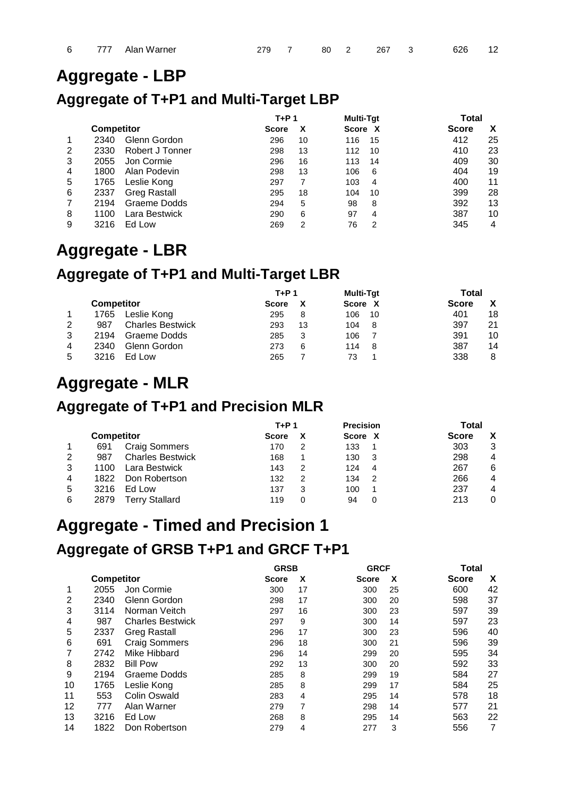### **Aggregate - LBP**

### **Aggregate of T+P1 and Multi-Target LBP**

|   |                   |                     | $T+P1$       |    | <b>Multi-Tat</b> | Total             |  |
|---|-------------------|---------------------|--------------|----|------------------|-------------------|--|
|   | <b>Competitor</b> |                     | <b>Score</b> | x  | Score X          | x<br><b>Score</b> |  |
|   | 2340              | Glenn Gordon        | 296          | 10 | 116<br>15        | 412<br>25         |  |
| 2 | 2330              | Robert J Tonner     | 298          | 13 | 112<br>10        | 23<br>410         |  |
| 3 | 2055              | Jon Cormie          | 296          | 16 | 113<br>14        | 409<br>30         |  |
| 4 | 1800              | Alan Podevin        | 298          | 13 | 106<br>6         | 19<br>404         |  |
| 5 | 1765              | Leslie Kong         | 297          |    | 103<br>4         | 11<br>400         |  |
| 6 | 2337              | <b>Greg Rastall</b> | 295          | 18 | 104<br>10        | 399<br>28         |  |
|   | 2194              | Graeme Dodds        | 294          | 5  | 98<br>8          | 392<br>13         |  |
| 8 | 1100              | Lara Bestwick       | 290          | 6  | 97<br>4          | 387<br>10         |  |
| 9 | 3216              | Ed Low              | 269          | 2  | 76<br>2          | 345<br>4          |  |

## **Aggregate - LBR**

### **Aggregate of T+P1 and Multi-Target LBR**

|   |                   |                         | T+P 1 |    | Multi-Tat | Total        |    |
|---|-------------------|-------------------------|-------|----|-----------|--------------|----|
|   | <b>Competitor</b> |                         | Score |    | Score X   | <b>Score</b> |    |
|   | 1765              | Leslie Kong             | 295   | 8  | 106<br>10 | 401          | 18 |
| 2 | 987               | <b>Charles Bestwick</b> | 293   | 13 | 104<br>-8 | 397          | 21 |
| 3 | 2194              | Graeme Dodds            | 285   | 3  | 106       | 391          | 10 |
| 4 | 2340              | Glenn Gordon            | 273   | 6  | 114<br>-8 | 387          | 14 |
| 5 | 3216              | Ed Low                  | 265   |    | 73        | 338          | 8  |

### **Aggregate - MLR**

#### **Aggregate of T+P1 and Precision MLR**

|   |                   |                         | T+P 1        |   | <b>Precision</b> |    | Total        |   |
|---|-------------------|-------------------------|--------------|---|------------------|----|--------------|---|
|   | <b>Competitor</b> |                         | <b>Score</b> |   | Score X          |    | <b>Score</b> |   |
|   | 691               | <b>Craig Sommers</b>    | 170          | 2 | 133              |    | 303          | 3 |
| 2 | 987               | <b>Charles Bestwick</b> | 168          |   | 130              | -3 | 298          | 4 |
| 3 | 1100              | Lara Bestwick           | 143          | 2 | 124              | 4  | 267          | 6 |
| 4 | 1822              | Don Robertson           | 132          | 2 | 134              | 2  | 266          | 4 |
| 5 | 3216              | Ed Low                  | 137          | 3 | 100              |    | 237          | 4 |
| 6 | 2879              | <b>Terry Stallard</b>   | 119          | 0 | 94               |    | 213          | 0 |

## **Aggregate - Timed and Precision 1 Aggregate of GRSB T+P1 and GRCF T+P1**

|    |                   |                         | <b>GRSB</b>  |    |              | <b>GRCF</b> | Total        |    |
|----|-------------------|-------------------------|--------------|----|--------------|-------------|--------------|----|
|    | <b>Competitor</b> |                         | <b>Score</b> | x  | <b>Score</b> | x           | <b>Score</b> | X  |
| 1  | 2055              | Jon Cormie              | 300          | 17 | 300          | 25          | 600          | 42 |
| 2  | 2340              | Glenn Gordon            | 298          | 17 | 300          | 20          | 598          | 37 |
| 3  | 3114              | Norman Veitch           | 297          | 16 | 300          | 23          | 597          | 39 |
| 4  | 987               | <b>Charles Bestwick</b> | 297          | 9  | 300          | 14          | 597          | 23 |
| 5  | 2337              | <b>Greg Rastall</b>     | 296          | 17 | 300          | 23          | 596          | 40 |
| 6  | 691               | <b>Craig Sommers</b>    | 296          | 18 | 300          | 21          | 596          | 39 |
| 7  | 2742              | Mike Hibbard            | 296          | 14 | 299          | 20          | 595          | 34 |
| 8  | 2832              | <b>Bill Pow</b>         | 292          | 13 | 300          | 20          | 592          | 33 |
| 9  | 2194              | Graeme Dodds            | 285          | 8  | 299          | 19          | 584          | 27 |
| 10 | 1765              | Leslie Kong             | 285          | 8  | 299          | 17          | 584          | 25 |
| 11 | 553               | Colin Oswald            | 283          | 4  | 295          | 14          | 578          | 18 |
| 12 | 777               | Alan Warner             | 279          | 7  | 298          | 14          | 577          | 21 |
| 13 | 3216              | Ed Low                  | 268          | 8  | 295          | 14          | 563          | 22 |
| 14 | 1822              | Don Robertson           | 279          | 4  | 277          | 3           | 556          | 7  |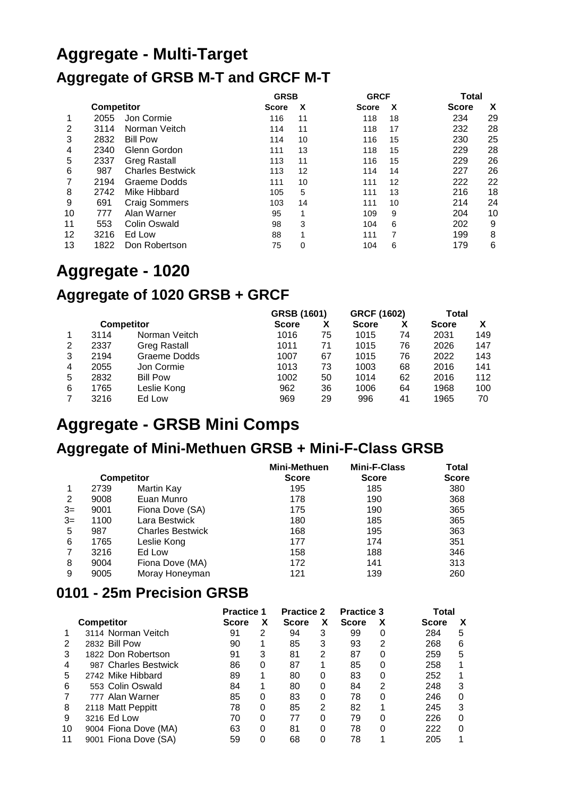# **Aggregate - Multi-Target Aggregate of GRSB M-T and GRCF M-T**

|    |                   |                         | <b>GRSB</b>  |    | <b>GRCF</b>  |    | Total        |    |
|----|-------------------|-------------------------|--------------|----|--------------|----|--------------|----|
|    | <b>Competitor</b> |                         | <b>Score</b> | x  | <b>Score</b> | X  | <b>Score</b> | X  |
| 1  | 2055              | Jon Cormie              | 116          | 11 | 118          | 18 | 234          | 29 |
| 2  | 3114              | Norman Veitch           | 114          | 11 | 118          | 17 | 232          | 28 |
| 3  | 2832              | <b>Bill Pow</b>         | 114          | 10 | 116          | 15 | 230          | 25 |
| 4  | 2340              | Glenn Gordon            | 111          | 13 | 118          | 15 | 229          | 28 |
| 5  | 2337              | <b>Greg Rastall</b>     | 113          | 11 | 116          | 15 | 229          | 26 |
| 6  | 987               | <b>Charles Bestwick</b> | 113          | 12 | 114          | 14 | 227          | 26 |
|    | 2194              | Graeme Dodds            | 111          | 10 | 111          | 12 | 222          | 22 |
| 8  | 2742              | Mike Hibbard            | 105          | 5  | 111          | 13 | 216          | 18 |
| 9  | 691               | <b>Craig Sommers</b>    | 103          | 14 | 111          | 10 | 214          | 24 |
| 10 | 777               | Alan Warner             | 95           | 1  | 109          | 9  | 204          | 10 |
| 11 | 553               | Colin Oswald            | 98           | 3  | 104          | 6  | 202          | 9  |
| 12 | 3216              | Ed Low                  | 88           | 4  | 111          |    | 199          | 8  |
| 13 | 1822              | Don Robertson           | 75           | 0  | 104          | 6  | 179          | 6  |

## **Aggregate - 1020**

### **Aggregate of 1020 GRSB + GRCF**

|   |      |                     | GRSB (1601)  |    | <b>GRCF (1602)</b> |    | Total        |     |
|---|------|---------------------|--------------|----|--------------------|----|--------------|-----|
|   |      | <b>Competitor</b>   | <b>Score</b> | х  | <b>Score</b>       | х  | <b>Score</b> |     |
|   | 3114 | Norman Veitch       | 1016         | 75 | 1015               | 74 | 2031         | 149 |
| 2 | 2337 | <b>Greg Rastall</b> | 1011         | 71 | 1015               | 76 | 2026         | 147 |
| 3 | 2194 | Graeme Dodds        | 1007         | 67 | 1015               | 76 | 2022         | 143 |
| 4 | 2055 | Jon Cormie          | 1013         | 73 | 1003               | 68 | 2016         | 141 |
| 5 | 2832 | <b>Bill Pow</b>     | 1002         | 50 | 1014               | 62 | 2016         | 112 |
| 6 | 1765 | Leslie Kong         | 962          | 36 | 1006               | 64 | 1968         | 100 |
|   | 3216 | Ed Low              | 969          | 29 | 996                | 41 | 1965         | 70  |

### **Aggregate - GRSB Mini Comps**

## **Aggregate of Mini-Methuen GRSB + Mini-F-Class GRSB**

|      |      |                         | <b>Mini-Methuen</b> | <b>Mini-F-Class</b> | Total        |
|------|------|-------------------------|---------------------|---------------------|--------------|
|      |      | <b>Competitor</b>       | <b>Score</b>        | <b>Score</b>        | <b>Score</b> |
|      | 2739 | Martin Kay              | 195                 | 185                 | 380          |
| 2    | 9008 | Euan Munro              | 178                 | 190                 | 368          |
| $3=$ | 9001 | Fiona Dove (SA)         | 175                 | 190                 | 365          |
| $3=$ | 1100 | Lara Bestwick           | 180                 | 185                 | 365          |
| 5    | 987  | <b>Charles Bestwick</b> | 168                 | 195                 | 363          |
| 6    | 1765 | Leslie Kong             | 177                 | 174                 | 351          |
|      | 3216 | Ed Low                  | 158                 | 188                 | 346          |
| 8    | 9004 | Fiona Dove (MA)         | 172                 | 141                 | 313          |
| 9    | 9005 | Moray Honeyman          | 121                 | 139                 | 260          |

#### **0101 - 25m Precision GRSB**

|    |                      | <b>Practice 1</b> |          | <b>Practice 2</b> |   | <b>Practice 3</b> |   | Total        |   |
|----|----------------------|-------------------|----------|-------------------|---|-------------------|---|--------------|---|
|    | <b>Competitor</b>    | <b>Score</b>      | х        | <b>Score</b>      | х | <b>Score</b>      |   | <b>Score</b> | X |
|    | 3114 Norman Veitch   | 91                | 2        | 94                | 3 | 99                | Ω | 284          | 5 |
| 2  | 2832 Bill Pow        | 90                |          | 85                | 3 | 93                | 2 | 268          | 6 |
| 3  | 1822 Don Robertson   | 91                | 3        | 81                | 2 | 87                | 0 | 259          | 5 |
| 4  | 987 Charles Bestwick | 86                | 0        | 87                |   | 85                | 0 | 258          |   |
| 5  | 2742 Mike Hibbard    | 89                |          | 80                | 0 | 83                | Ω | 252          |   |
| 6  | 553 Colin Oswald     | 84                |          | 80                | 0 | 84                | 2 | 248          | 3 |
|    | 777 Alan Warner      | 85                | 0        | 83                | 0 | 78                | 0 | 246          | 0 |
| 8  | 2118 Matt Peppitt    | 78                | 0        | 85                | 2 | 82                | 1 | 245          | 3 |
| 9  | 3216 Ed Low          | 70                | 0        | 77                | 0 | 79                | 0 | 226          | 0 |
| 10 | 9004 Fiona Dove (MA) | 63                | $\Omega$ | 81                | 0 | 78                | 0 | 222          | 0 |
| 11 | 9001 Fiona Dove (SA) | 59                | 0        | 68                | 0 | 78                |   | 205          |   |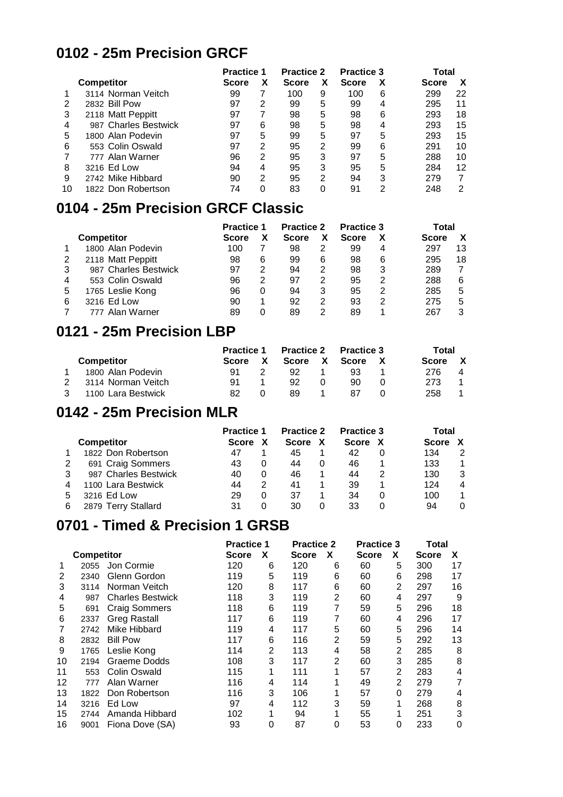#### **0102 - 25m Precision GRCF**

|    |                      | <b>Practice 1</b> |   | <b>Practice 2</b> |   | <b>Practice 3</b> |   | Total        |    |
|----|----------------------|-------------------|---|-------------------|---|-------------------|---|--------------|----|
|    | <b>Competitor</b>    | Score             | х | <b>Score</b>      | х | <b>Score</b>      | х | <b>Score</b> | х  |
|    | 3114 Norman Veitch   | 99                |   | 100               | 9 | 100               | 6 | 299          | 22 |
| 2  | 2832 Bill Pow        | 97                | 2 | 99                | 5 | 99                | 4 | 295          | 11 |
| 3  | 2118 Matt Peppitt    | 97                |   | 98                | 5 | 98                | 6 | 293          | 18 |
| 4  | 987 Charles Bestwick | 97                | 6 | 98                | 5 | 98                | 4 | 293          | 15 |
| 5  | 1800 Alan Podevin    | 97                | 5 | 99                | 5 | 97                | 5 | 293          | 15 |
| 6  | 553 Colin Oswald     | 97                | 2 | 95                | 2 | 99                | 6 | 291          | 10 |
|    | 777 Alan Warner      | 96                | 2 | 95                | 3 | 97                | 5 | 288          | 10 |
| 8  | 3216 Ed Low          | 94                | 4 | 95                | 3 | 95                | 5 | 284          | 12 |
| 9  | 2742 Mike Hibbard    | 90                | 2 | 95                | 2 | 94                | 3 | 279          |    |
| 10 | 1822 Don Robertson   | 74                | 0 | 83                | 0 | 91                | 2 | 248          | 2  |

#### **0104 - 25m Precision GRCF Classic**

|   |                      | <b>Practice 1</b> |   | <b>Practice 2</b> |   | <b>Practice 3</b> |   | Total        |    |
|---|----------------------|-------------------|---|-------------------|---|-------------------|---|--------------|----|
|   | <b>Competitor</b>    | <b>Score</b>      |   | <b>Score</b>      | х | <b>Score</b>      |   | <b>Score</b> |    |
|   | 1800 Alan Podevin    | 100               |   | 98                | 2 | 99                | 4 | 297          | 13 |
|   | 2118 Matt Peppitt    | 98                | 6 | 99                | 6 | 98                | 6 | 295          | 18 |
| 3 | 987 Charles Bestwick | 97                | 2 | 94                | 2 | 98                | 3 | 289          |    |
| 4 | 553 Colin Oswald     | 96                | 2 | 97                | 2 | 95                | 2 | 288          | 6  |
| 5 | 1765 Leslie Kong     | 96                | 0 | 94                | 3 | 95                | 2 | 285          | 5  |
| 6 | 3216 Ed Low          | 90                |   | 92                | 2 | 93                | 2 | 275          | 5  |
|   | 777 Alan Warner      | 89                | Ω | 89                | 2 | 89                |   | 267          | 3  |

#### **0121 - 25m Precision LBP**

|                    | <b>Practice 1</b> |   | <b>Practice 2</b> |          | <b>Practice 3</b> |  | Total        |              |
|--------------------|-------------------|---|-------------------|----------|-------------------|--|--------------|--------------|
| <b>Competitor</b>  | Score             | X | Score X           |          | Score             |  | <b>Score</b> | $\mathbf{x}$ |
| 1800 Alan Podevin  | 91                |   | 92                |          | 93                |  | 276.         | 4            |
| 3114 Norman Veitch | 91                |   | 92                | $\Omega$ | 90                |  | 273          |              |
| 1100 Lara Bestwick | 82                |   | 89                |          | 87                |  | 258          |              |

#### **0142 - 25m Precision MLR**

|   |                      | <b>Practice 1</b> |   | <b>Practice 2</b> |          | <b>Practice 3</b> |  | Total |   |
|---|----------------------|-------------------|---|-------------------|----------|-------------------|--|-------|---|
|   | <b>Competitor</b>    | <b>Score</b>      |   | <b>Score</b>      | X        | <b>Score</b>      |  | Score |   |
|   | 1822 Don Robertson   | 47                |   | 45                |          | 42                |  | 134   | 2 |
|   | 691 Craig Sommers    | 43                | O | 44                |          | 46                |  | 133   |   |
|   | 987 Charles Bestwick | 40                |   | 46                |          | 44                |  | 130   | 3 |
| 4 | 1100 Lara Bestwick   | 44                | 2 | 41                |          | 39                |  | 124   | 4 |
| 5 | 3216 Ed Low          | 29                |   | 37                |          | 34                |  | 100   |   |
| 6 | 2879 Terry Stallard  | 31                |   | 30                | $\Omega$ | 33                |  | 94    |   |

#### **0701 - Timed & Precision 1 GRSB**

|    |                   | <b>Practice 1</b>       |       | <b>Practice 2</b> |       | <b>Practice 3</b> |              | <b>Total</b> |              |    |
|----|-------------------|-------------------------|-------|-------------------|-------|-------------------|--------------|--------------|--------------|----|
|    | <b>Competitor</b> |                         | Score | X                 | Score | X                 | <b>Score</b> | X            | <b>Score</b> | X  |
|    | 2055              | Jon Cormie              | 120   | 6                 | 120   | 6                 | 60           | 5            | 300          | 17 |
| 2  | 2340              | Glenn Gordon            | 119   | 5                 | 119   | 6                 | 60           | 6            | 298          | 17 |
| 3  | 3114              | Norman Veitch           | 120   | 8                 | 117   | 6                 | 60           | 2            | 297          | 16 |
| 4  | 987               | <b>Charles Bestwick</b> | 118   | 3                 | 119   | 2                 | 60           | 4            | 297          | 9  |
| 5  | 691               | <b>Craig Sommers</b>    | 118   | 6                 | 119   | 7                 | 59           | 5            | 296          | 18 |
| 6  | 2337              | <b>Greg Rastall</b>     | 117   | 6                 | 119   | 7                 | 60           | 4            | 296          | 17 |
|    | 2742              | Mike Hibbard            | 119   | 4                 | 117   | 5                 | 60           | 5            | 296          | 14 |
| 8  | 2832              | <b>Bill Pow</b>         | 117   | 6                 | 116   | 2                 | 59           | 5            | 292          | 13 |
| 9  | 1765              | Leslie Kong             | 114   | 2                 | 113   | 4                 | 58           | 2            | 285          | 8  |
| 10 | 2194              | Graeme Dodds            | 108   | 3                 | 117   | 2                 | 60           | 3            | 285          | 8  |
| 11 | 553               | Colin Oswald            | 115   | 1                 | 111   | 1                 | 57           | 2            | 283          | 4  |
| 12 | 777               | Alan Warner             | 116   | 4                 | 114   |                   | 49           | 2            | 279          | 7  |
| 13 | 1822              | Don Robertson           | 116   | 3                 | 106   |                   | 57           | 0            | 279          | 4  |
| 14 | 3216              | Ed Low                  | 97    | 4                 | 112   | 3                 | 59           | 1            | 268          | 8  |
| 15 | 2744              | Amanda Hibbard          | 102   |                   | 94    |                   | 55           | 1            | 251          | 3  |
| 16 | 9001              | Fiona Dove (SA)         | 93    | 0                 | 87    | 0                 | 53           | 0            | 233          | 0  |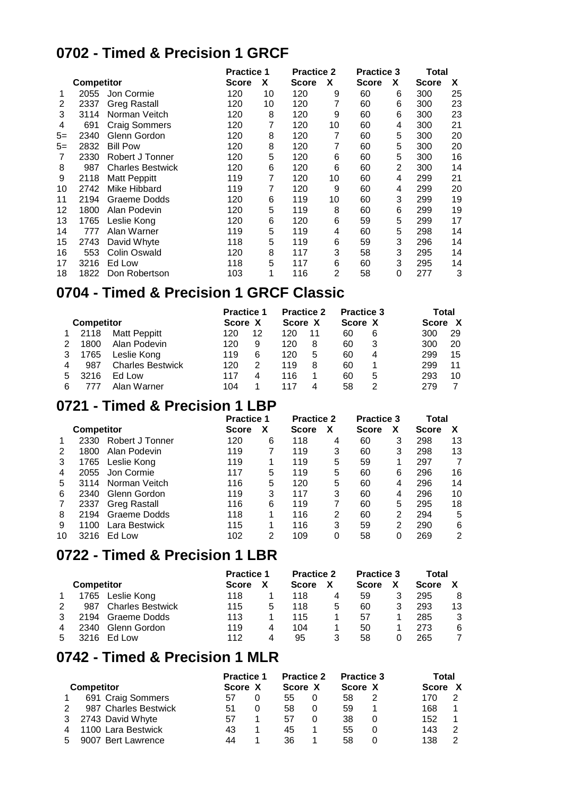#### **0702 - Timed & Precision 1 GRCF**

|       |                   |                         |              | <b>Practice 1</b> |       | <b>Practice 2</b> |              | <b>Practice 3</b><br>Total |       |    |  |
|-------|-------------------|-------------------------|--------------|-------------------|-------|-------------------|--------------|----------------------------|-------|----|--|
|       | <b>Competitor</b> |                         | <b>Score</b> | X                 | Score | X                 | <b>Score</b> | X                          | Score | X  |  |
| 1     | 2055              | Jon Cormie              | 120          | 10                | 120   | 9                 | 60           | 6                          | 300   | 25 |  |
| 2     | 2337              | <b>Greg Rastall</b>     | 120          | 10                | 120   | 7                 | 60           | 6                          | 300   | 23 |  |
| 3     | 3114              | Norman Veitch           | 120          | 8                 | 120   | 9                 | 60           | 6                          | 300   | 23 |  |
| 4     | 691               | <b>Craig Sommers</b>    | 120          | 7                 | 120   | 10                | 60           | 4                          | 300   | 21 |  |
| $5 =$ | 2340              | Glenn Gordon            | 120          | 8                 | 120   | 7                 | 60           | 5                          | 300   | 20 |  |
| $5 =$ | 2832              | <b>Bill Pow</b>         | 120          | 8                 | 120   | 7                 | 60           | 5                          | 300   | 20 |  |
| 7     | 2330              | Robert J Tonner         | 120          | 5                 | 120   | 6                 | 60           | 5                          | 300   | 16 |  |
| 8     | 987               | <b>Charles Bestwick</b> | 120          | 6                 | 120   | 6                 | 60           | $\overline{2}$             | 300   | 14 |  |
| 9     | 2118              | <b>Matt Peppitt</b>     | 119          | 7                 | 120   | 10                | 60           | 4                          | 299   | 21 |  |
| 10    | 2742              | Mike Hibbard            | 119          | 7                 | 120   | 9                 | 60           | 4                          | 299   | 20 |  |
| 11    | 2194              | Graeme Dodds            | 120          | 6                 | 119   | 10                | 60           | 3                          | 299   | 19 |  |
| 12    | 1800              | Alan Podevin            | 120          | 5                 | 119   | 8                 | 60           | 6                          | 299   | 19 |  |
| 13    | 1765              | Leslie Kong             | 120          | 6                 | 120   | 6                 | 59           | 5                          | 299   | 17 |  |
| 14    | 777               | Alan Warner             | 119          | 5                 | 119   | 4                 | 60           | 5                          | 298   | 14 |  |
| 15    | 2743              | David Whyte             | 118          | 5                 | 119   | 6                 | 59           | 3                          | 296   | 14 |  |
| 16    | 553               | <b>Colin Oswald</b>     | 120          | 8                 | 117   | 3                 | 58           | 3                          | 295   | 14 |  |
| 17    | 3216              | Ed Low                  | 118          | 5                 | 117   | 6                 | 60           | 3                          | 295   | 14 |  |
| 18    | 1822              | Don Robertson           | 103          | 1                 | 116   | 2                 | 58           | 0                          | 277   | 3  |  |

#### **0704 - Timed & Precision 1 GRCF Classic**

|   |                   |                         | <b>Practice 1</b> |    | <b>Practice 2</b> |    | <b>Practice 3</b> | Total |         |    |
|---|-------------------|-------------------------|-------------------|----|-------------------|----|-------------------|-------|---------|----|
|   | <b>Competitor</b> |                         | Score X           |    | Score X           |    | Score X           |       | Score X |    |
|   | 2118              | <b>Matt Peppitt</b>     | 120               | 12 | 120               | 11 | 60                | 6     | 300     | 29 |
|   | 1800              | Alan Podevin            | 120               | 9  | 120               | 8  | 60                | 3     | 300     | 20 |
| 3 | 1765              | Leslie Kong             | 119               | 6  | 120               | 5  | 60                | 4     | 299     | 15 |
| 4 | 987               | <b>Charles Bestwick</b> | 120               | 2  | 119               | 8  | 60                |       | 299     | 11 |
| 5 | 3216              | Ed Low                  | 117               |    | 116               |    | 60                | 5     | 293     | 10 |
| 6 |                   | Alan Warner             | 104               |    | 117               | 4  | 58                | 2     | 279     |    |

#### **0721 - Timed & Precision 1 LBP**

|    |                   |                     |              | <b>Practice 1</b> |              | <b>Practice 2</b> | <b>Practice 3</b> |   | Total        |    |
|----|-------------------|---------------------|--------------|-------------------|--------------|-------------------|-------------------|---|--------------|----|
|    | <b>Competitor</b> |                     | <b>Score</b> | х                 | <b>Score</b> | х                 | <b>Score</b>      | х | <b>Score</b> |    |
|    | 2330              | Robert J Tonner     | 120          | 6                 | 118          | 4                 | 60                | 3 | 298          | 13 |
| 2  | 1800              | Alan Podevin        | 119          |                   | 119          | 3                 | 60                |   | 298          | 13 |
| 3  | 1765              | Leslie Kong         | 119          |                   | 119          | 5                 | 59                |   | 297          |    |
| 4  | 2055              | Jon Cormie          | 117          | 5                 | 119          | 5                 | 60                | 6 | 296          | 16 |
| 5  | 3114              | Norman Veitch       | 116          | 5                 | 120          | 5                 | 60                | 4 | 296          | 14 |
| 6  | 2340              | Glenn Gordon        | 119          | 3                 | 117          | 3                 | 60                | 4 | 296          | 10 |
|    | 2337              | <b>Greg Rastall</b> | 116          | 6                 | 119          |                   | 60                | 5 | 295          | 18 |
| 8  | 2194              | Graeme Dodds        | 118          |                   | 116          | 2                 | 60                | 2 | 294          | 5  |
| 9  | 1100              | Lara Bestwick       | 115          |                   | 116          | 3                 | 59                |   | 290          | 6  |
| 10 | 3216              | Ed Low              | 102          | 2                 | 109          |                   | 58                |   | 269          | 2  |

#### **0722 - Timed & Precision 1 LBR**

|   |                   |                         | <b>Practice 1</b> |   | <b>Practice 2</b> |   | <b>Practice 3</b> | Total        |    |
|---|-------------------|-------------------------|-------------------|---|-------------------|---|-------------------|--------------|----|
|   | <b>Competitor</b> |                         | <b>Score</b>      |   | <b>Score</b>      |   | <b>Score</b>      | <b>Score</b> |    |
|   | 1765              | Leslie Kong             | 118               |   | 118               | 4 | 59                | 295          | 8  |
|   | 987               | <b>Charles Bestwick</b> | 115               | 5 | 118               | 5 | 60                | 293          | 13 |
| 3 | 2194              | Graeme Dodds            | 113               |   | 115               |   | 57                | 285          | 3  |
| 4 | 2340              | Glenn Gordon            | 119               | 4 | 104               |   | 50                | 273          | 6  |
| 5 | 3216              | Fd Low                  | 112               | 4 | 95                | 3 | 58                | 265          |    |

#### **0742 - Timed & Precision 1 MLR**

|   |                      | <b>Practice 1</b> |  | <b>Practice 2</b> |   | <b>Practice 3</b> |  | Total   |   |
|---|----------------------|-------------------|--|-------------------|---|-------------------|--|---------|---|
|   | <b>Competitor</b>    | Score X           |  | Score X           |   | Score X           |  | Score X |   |
|   | 691 Craig Sommers    | 57                |  | 55                | 0 | 58                |  | 170     |   |
| 2 | 987 Charles Bestwick | 51                |  | 58                | 0 | 59                |  | 168     |   |
| 3 | 2743 David Whyte     | 57                |  | 57                |   | 38                |  | 152     |   |
| 4 | 1100 Lara Bestwick   | 43                |  | 45                |   | 55                |  | 143     | 2 |
| 5 | 9007 Bert Lawrence   | 44                |  | 36                |   | 58                |  | 138     | ◠ |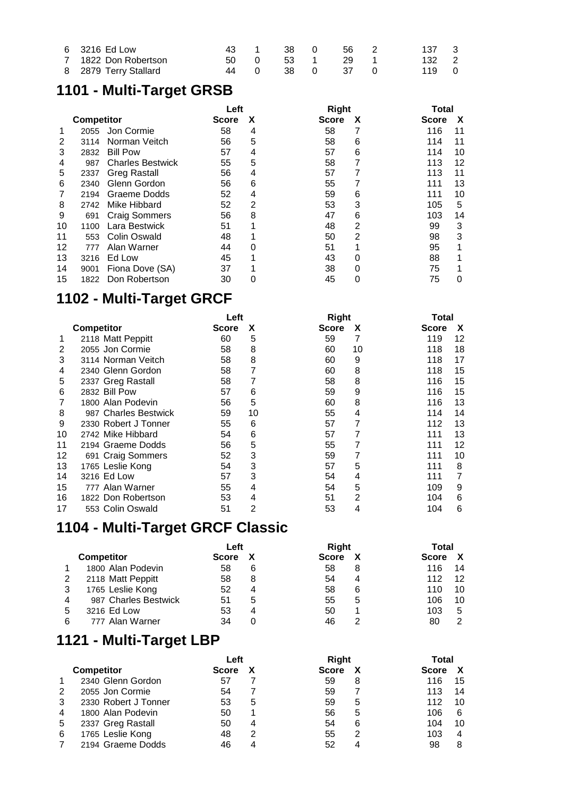| 6 3216 Ed Low         |      |  | 43 1 38 0 56 2 | 137 3 |  |
|-----------------------|------|--|----------------|-------|--|
| 7 1822 Don Robertson  | 50 0 |  | 53 1 29 1      | 132 2 |  |
| 8 2879 Terry Stallard | 44 O |  | 38 0 37 0      | 119 0 |  |

## **1101 - Multi-Target GRSB**

|    |                   |                         | Left  |   |       | <b>Right</b> |              |    |
|----|-------------------|-------------------------|-------|---|-------|--------------|--------------|----|
|    | <b>Competitor</b> |                         | Score | x | Score | x            | <b>Score</b> | X  |
|    | 2055              | Jon Cormie              | 58    | 4 | 58    |              | 116          | 11 |
| 2  | 3114              | Norman Veitch           | 56    | 5 | 58    | 6            | 114          | 11 |
| 3  | 2832              | <b>Bill Pow</b>         | 57    | 4 | 57    | 6            | 114          | 10 |
| 4  | 987               | <b>Charles Bestwick</b> | 55    | 5 | 58    |              | 113          | 12 |
| 5  | 2337              | <b>Greg Rastall</b>     | 56    | 4 | 57    |              | 113          | 11 |
| 6  | 2340              | Glenn Gordon            | 56    | 6 | 55    |              | 111          | 13 |
|    | 2194              | Graeme Dodds            | 52    | 4 | 59    | 6            | 111          | 10 |
| 8  | 2742              | Mike Hibbard            | 52    | 2 | 53    | 3            | 105          | 5  |
| 9  | 691               | <b>Craig Sommers</b>    | 56    | 8 | 47    | 6            | 103          | 14 |
| 10 | 1100              | Lara Bestwick           | 51    |   | 48    | 2            | 99           | 3  |
| 11 | 553               | <b>Colin Oswald</b>     | 48    |   | 50    | 2            | 98           | 3  |
| 12 | 777               | Alan Warner             | 44    | 0 | 51    |              | 95           |    |
| 13 | 3216              | Ed Low                  | 45    |   | 43    | 0            | 88           |    |
| 14 | 9001              | Fiona Dove (SA)         | 37    |   | 38    | 0            | 75           |    |
| 15 | 1822              | Don Robertson           | 30    |   | 45    |              | 75           | ∩  |

### **1102 - Multi-Target GRCF**

|    |                      | Left  |    |              | <b>Right</b> |              |    |  |  |
|----|----------------------|-------|----|--------------|--------------|--------------|----|--|--|
|    | <b>Competitor</b>    | Score | X  | <b>Score</b> | X            | <b>Score</b> | X  |  |  |
|    | 2118 Matt Peppitt    | 60    | 5  | 59           | 7            | 119          | 12 |  |  |
|    | 2055 Jon Cormie      | 58    | 8  | 60           | 10           | 118          | 18 |  |  |
| 3  | 3114 Norman Veitch   | 58    | 8  | 60           | 9            | 118          | 17 |  |  |
| 4  | 2340 Glenn Gordon    | 58    |    | 60           | 8            | 118          | 15 |  |  |
| 5  | 2337 Greg Rastall    | 58    |    | 58           | 8            | 116          | 15 |  |  |
| 6  | 2832 Bill Pow        | 57    | 6  | 59           | 9            | 116          | 15 |  |  |
|    | 1800 Alan Podevin    | 56    | 5  | 60           | 8            | 116          | 13 |  |  |
| 8  | 987 Charles Bestwick | 59    | 10 | 55           | 4            | 114          | 14 |  |  |
| 9  | 2330 Robert J Tonner | 55    | 6  | 57           |              | 112          | 13 |  |  |
| 10 | 2742 Mike Hibbard    | 54    | 6  | 57           |              | 111          | 13 |  |  |
| 11 | 2194 Graeme Dodds    | 56    | 5  | 55           |              | 111          | 12 |  |  |
| 12 | 691 Craig Sommers    | 52    | 3  | 59           | 7            | 111          | 10 |  |  |
| 13 | 1765 Leslie Kong     | 54    | 3  | 57           | 5            | 111          | 8  |  |  |
| 14 | 3216 Ed Low          | 57    | 3  | 54           | 4            | 111          |    |  |  |
| 15 | 777 Alan Warner      | 55    | 4  | 54           | 5            | 109          | 9  |  |  |
| 16 | 1822 Don Robertson   | 53    | 4  | 51           | 2            | 104          | 6  |  |  |
| 17 | 553 Colin Oswald     | 51    | 2  | 53           | 4            | 104          | 6  |  |  |

## **1104 - Multi-Target GRCF Classic**

|   |                      | Left         |   | Right        |   | Total        |    |  |
|---|----------------------|--------------|---|--------------|---|--------------|----|--|
|   | <b>Competitor</b>    | <b>Score</b> |   | <b>Score</b> | X | <b>Score</b> |    |  |
|   | 1800 Alan Podevin    | 58           | 6 | 58           | 8 | 116          | 14 |  |
|   | 2118 Matt Peppitt    | 58           | 8 | 54           | 4 | 112          | 12 |  |
|   | 1765 Leslie Kong     | 52           | 4 | 58           | 6 | 110          | 10 |  |
| 4 | 987 Charles Bestwick | 51           | 5 | 55           | 5 | 106          | 10 |  |
| 5 | 3216 Ed Low          | 53           |   | 50           |   | 103          | 5  |  |
| 6 | 777 Alan Warner      | 34           |   | 46           | っ | 80           | າ  |  |

### **1121 - Multi-Target LBP**

|   |                      | Left         |   | Right        | Total |              |    |
|---|----------------------|--------------|---|--------------|-------|--------------|----|
|   | <b>Competitor</b>    | <b>Score</b> | X | <b>Score</b> |       | <b>Score</b> |    |
|   | 2340 Glenn Gordon    | 57           |   | 59           | 8     | 116          | 15 |
| 2 | 2055 Jon Cormie      | 54           |   | 59           |       | 113          | 14 |
| 3 | 2330 Robert J Tonner | 53           | 5 | 59           | 5     | 112          | 10 |
| 4 | 1800 Alan Podevin    | 50           |   | 56           | 5     | 106          | 6  |
| 5 | 2337 Greg Rastall    | 50           |   | 54           | 6     | 104          | 10 |
| 6 | 1765 Leslie Kong     | 48           | 2 | 55           | 2     | 103          | 4  |
|   | 2194 Graeme Dodds    | 46           |   | 52           | 4     | 98           | 8  |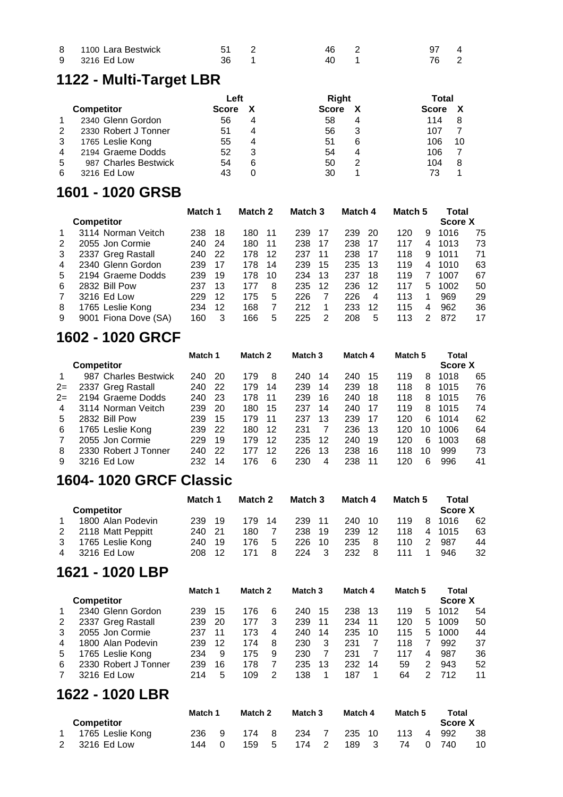| 8 1100 Lara Bestwick | 51 2 | 46 2 | 97 4 |  |
|----------------------|------|------|------|--|
| 9 3216 Ed Low        | 36 1 | 40   | 76 2 |  |

### **1122 - Multi-Target LBR**

|   |                      | Left         |   | Right        | Total |              |    |
|---|----------------------|--------------|---|--------------|-------|--------------|----|
|   | <b>Competitor</b>    | <b>Score</b> |   | <b>Score</b> | X     | <b>Score</b> |    |
|   | 2340 Glenn Gordon    | 56           |   | 58           | 4     | 114          | 8  |
| 2 | 2330 Robert J Tonner | 51           |   | 56           | 3     | 107          |    |
| 3 | 1765 Leslie Kong     | 55           |   | 51           | 6     | 106          | 10 |
| 4 | 2194 Graeme Dodds    | 52           | 3 | 54           | 4     | 106          |    |
| 5 | 987 Charles Bestwick | 54           | 6 | 50           | 2     | 104          | 8  |
| 6 | 3216 Ed Low          | 43           |   | 30           |       | 73           |    |

#### **1601 - 1020 GRSB**

|   |                      | Match 1 |     | Match 2 |    | Match 3 |    | Match 4 |    | Match 5 |   | Total          |    |
|---|----------------------|---------|-----|---------|----|---------|----|---------|----|---------|---|----------------|----|
|   | <b>Competitor</b>    |         |     |         |    |         |    |         |    |         |   | <b>Score X</b> |    |
|   | 3114 Norman Veitch   | 238     | 18  | 180     | 11 | 239     | 17 | 239     | 20 | 120     | 9 | 1016           | 75 |
| 2 | 2055 Jon Cormie      | 240     | -24 | 180     | 11 | 238     | 17 | 238     | 17 | 117     | 4 | 1013           | 73 |
| 3 | 2337 Greg Rastall    | 240     | 22  | 178     | 12 | 237     | 11 | 238     | 17 | 118     | 9 | 1011           | 71 |
| 4 | 2340 Glenn Gordon    | 239     | 17  | 178     | 14 | 239     | 15 | 235     | 13 | 119     | 4 | 1010           | 63 |
| 5 | 2194 Graeme Dodds    | 239     | 19  | 178     | 10 | 234     | 13 | 237     | 18 | 119     |   | 1007           | 67 |
| 6 | 2832 Bill Pow        | 237     | 13  | 177     | 8  | 235     | 12 | 236     | 12 | 117     | 5 | 1002           | 50 |
|   | 3216 Ed Low          | 229     | 12  | 175     | 5  | 226     |    | 226     | 4  | 113     | 1 | 969            | 29 |
| 8 | 1765 Leslie Kong     | 234     | 12  | 168     |    | 212     |    | 233     | 12 | 115     | 4 | 962            | 36 |
| 9 | 9001 Fiona Dove (SA) | 160     | 3   | 166     | 5  | 225     |    | 208     | 5  | 113     | 2 | 872            | 17 |

#### **1602 - 1020 GRCF**

|      |                      | Match 1 |    | Match <sub>2</sub> |    | Match <sub>3</sub> |    | Match 4 |    | Match <sub>5</sub> |    | Total          |    |
|------|----------------------|---------|----|--------------------|----|--------------------|----|---------|----|--------------------|----|----------------|----|
|      | <b>Competitor</b>    |         |    |                    |    |                    |    |         |    |                    |    | <b>Score X</b> |    |
|      | 987 Charles Bestwick | 240     | 20 | 179                | 8  | 240                | 14 | 240     | 15 | 119                | 8  | 1018           | 65 |
| $2=$ | 2337 Greg Rastall    | 240     | 22 | 179                | 14 | 239                | 14 | 239     | 18 | 118                | 8  | 1015           | 76 |
| $2=$ | 2194 Graeme Dodds    | 240     | 23 | 178                | 11 | 239                | 16 | 240     | 18 | 118                | 8  | 1015           | 76 |
| 4    | 3114 Norman Veitch   | 239     | 20 | 180                | 15 | 237                | 14 | 240     | 17 | 119                | 8  | 1015           | 74 |
| 5    | 2832 Bill Pow        | 239     | 15 | 179                | 11 | 237                | 13 | 239     | 17 | 120                | 6  | 1014           | 62 |
| 6    | 1765 Leslie Kong     | 239     | 22 | 180                | 12 | 231                |    | 236     | 13 | 120                | 10 | 1006           | 64 |
|      | 2055 Jon Cormie      | 229     | 19 | 179                | 12 | 235                | 12 | 240     | 19 | 120                | 6  | 1003           | 68 |
| 8    | 2330 Robert J Tonner | 240     | 22 | 177                | 12 | 226                | 13 | 238     | 16 | 118                | 10 | 999            | 73 |
| 9    | 3216 Ed Low          | 232     | 14 | 176                | 6  | 230                | 4  | 238     | 11 | 120                | 6  | 996            | 41 |

#### **1604- 1020 GRCF Classic**

|                   | Match 1 |    | Match 2 |    | Match 3 |     | Match 4 |    | Match 5 |   | Total          |    |
|-------------------|---------|----|---------|----|---------|-----|---------|----|---------|---|----------------|----|
| <b>Competitor</b> |         |    |         |    |         |     |         |    |         |   | <b>Score X</b> |    |
| 1800 Alan Podevin | 239.    | 19 | 179.    | 14 | 239     | 11  | 240     | 10 | 119     | 8 | 1016           | 62 |
| 2118 Matt Peppitt | 240 21  |    | 180     |    | 238     | 19  | 239     | 12 | 118     | 4 | 1015           | 63 |
| 1765 Leslie Kong  | 240.    | 19 | 176.    | 5  | 226     | 10  | 235     | 8  | 110     | 2 | 987            | 44 |
| 3216 Ed Low       | 208     |    | 171     |    | 224     | - 3 | 232     | 8  | 111     |   | 946            | 32 |

### **1621 - 1020 LBP**

|   |                      | Match 1 |    | Match <sub>2</sub> |   | Match <sub>3</sub> |    | Match 4 |    | Match <sub>5</sub> |   | Total   |    |
|---|----------------------|---------|----|--------------------|---|--------------------|----|---------|----|--------------------|---|---------|----|
|   | <b>Competitor</b>    |         |    |                    |   |                    |    |         |    |                    |   | Score X |    |
|   | 2340 Glenn Gordon    | 239     | 15 | 176                | 6 | 240                | 15 | 238     | 13 | 119                | 5 | 1012    | 54 |
| 2 | 2337 Greg Rastall    | 239     | 20 | 177                | 3 | 239                | 11 | 234     | 11 | 120                | 5 | 1009    | 50 |
| 3 | 2055 Jon Cormie      | 237     | 11 | 173                | 4 | 240                | 14 | 235     | 10 | 115                | 5 | 1000    | 44 |
| 4 | 1800 Alan Podevin    | 239     | 12 | 174                | 8 | 230                | 3  | 231     |    | 118                | 7 | 992     | 37 |
| 5 | 1765 Leslie Kong     | 234     | 9  | 175                | 9 | 230                |    | 231     |    | 117                | 4 | 987     | 36 |
| 6 | 2330 Robert J Tonner | 239     | 16 | 178                |   | 235                | 13 | 232     | 14 | 59                 | 2 | 943     | 52 |
|   | 3216 Ed Low          | 214     | 5  | 109                | 2 | 138                |    | 187     | 1  | 64                 | 2 | 712     | 11 |
|   | 1622 - 1020 LBR      |         |    |                    |   |                    |    |         |    |                    |   |         |    |

|                    |     | Match 1<br>Match 2 |       |     | Match 3 |  | Match 4 |   | Match 5 |  | Total   |     |
|--------------------|-----|--------------------|-------|-----|---------|--|---------|---|---------|--|---------|-----|
| <b>Competitor</b>  |     |                    |       |     |         |  |         |   |         |  | Score X |     |
| 1 1765 Leslie Kong | 236 |                    | 174 8 |     | 234     |  | 235 10  |   | 113 4   |  | 992     | -38 |
| 2 3216 Ed Low      | 144 |                    | 159   | - 5 | 174 2   |  | 189     | 3 | 740     |  | 740     | 10  |